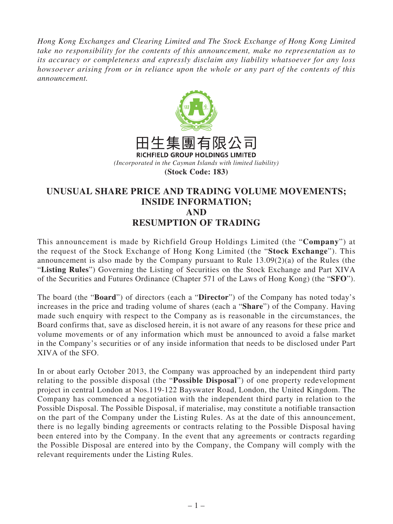*Hong Kong Exchanges and Clearing Limited and The Stock Exchange of Hong Kong Limited take no responsibility for the contents of this announcement, make no representation as to its accuracy or completeness and expressly disclaim any liability whatsoever for any loss howsoever arising from or in reliance upon the whole or any part of the contents of this announcement.*



## **UNUSUAL SHARE PRICE AND TRADING VOLUME MOVEMENTS; INSIDE INFORMATION; AND RESUMPTION OF TRADING**

This announcement is made by Richfield Group Holdings Limited (the "**Company**") at the request of the Stock Exchange of Hong Kong Limited (the "**Stock Exchange**"). This announcement is also made by the Company pursuant to Rule 13.09(2)(a) of the Rules (the "**Listing Rules**") Governing the Listing of Securities on the Stock Exchange and Part XIVA of the Securities and Futures Ordinance (Chapter 571 of the Laws of Hong Kong) (the "**SFO**").

The board (the "**Board**") of directors (each a "**Director**") of the Company has noted today's increases in the price and trading volume of shares (each a "**Share**") of the Company. Having made such enquiry with respect to the Company as is reasonable in the circumstances, the Board confirms that, save as disclosed herein, it is not aware of any reasons for these price and volume movements or of any information which must be announced to avoid a false market in the Company's securities or of any inside information that needs to be disclosed under Part XIVA of the SFO.

In or about early October 2013, the Company was approached by an independent third party relating to the possible disposal (the "**Possible Disposal**") of one property redevelopment project in central London at Nos.119-122 Bayswater Road, London, the United Kingdom. The Company has commenced a negotiation with the independent third party in relation to the Possible Disposal. The Possible Disposal, if materialise, may constitute a notifiable transaction on the part of the Company under the Listing Rules. As at the date of this announcement, there is no legally binding agreements or contracts relating to the Possible Disposal having been entered into by the Company. In the event that any agreements or contracts regarding the Possible Disposal are entered into by the Company, the Company will comply with the relevant requirements under the Listing Rules.